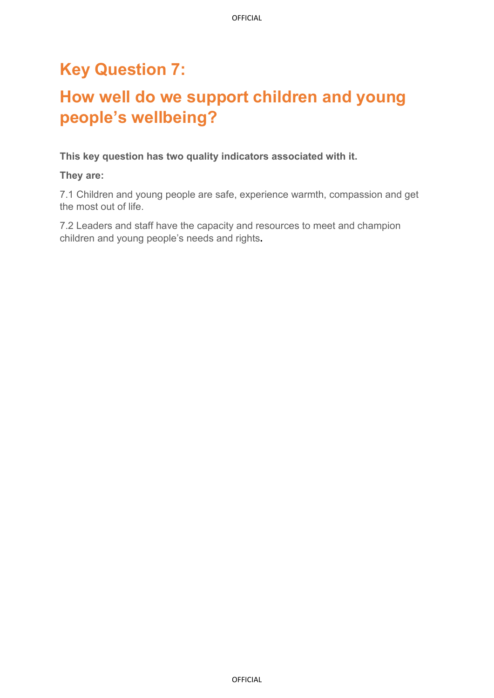## **Key Question 7:**

# **How well do we support children and young people's wellbeing?**

**This key question has two quality indicators associated with it.** 

**They are:** 

7.1 Children and young people are safe, experience warmth, compassion and get the most out of life.

7.2 Leaders and staff have the capacity and resources to meet and champion children and young people's needs and rights**.**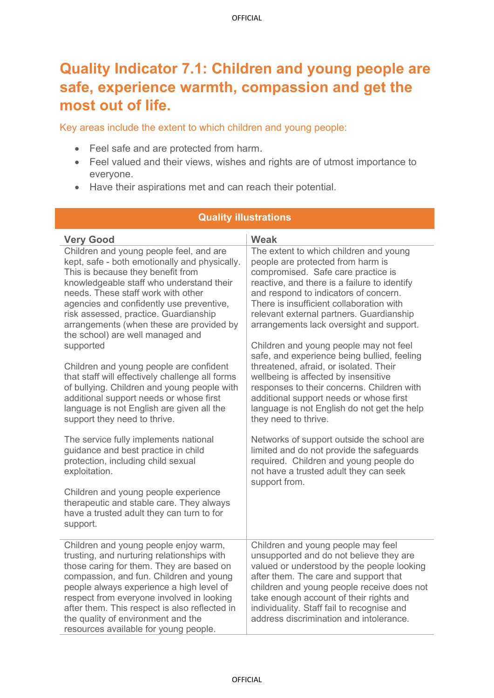### **Quality Indicator 7.1: Children and young people are safe, experience warmth, compassion and get the most out of life.**

Key areas include the extent to which children and young people:

- Feel safe and are protected from harm.
- Feel valued and their views, wishes and rights are of utmost importance to everyone.
- Have their aspirations met and can reach their potential.

| <b>Quality illustrations</b>                                                                                                                                                                                                                                                                                                                                                                        |                                                                                                                                                                                                                                                                                                                                                        |  |  |
|-----------------------------------------------------------------------------------------------------------------------------------------------------------------------------------------------------------------------------------------------------------------------------------------------------------------------------------------------------------------------------------------------------|--------------------------------------------------------------------------------------------------------------------------------------------------------------------------------------------------------------------------------------------------------------------------------------------------------------------------------------------------------|--|--|
| <b>Very Good</b>                                                                                                                                                                                                                                                                                                                                                                                    | <b>Weak</b>                                                                                                                                                                                                                                                                                                                                            |  |  |
| Children and young people feel, and are<br>kept, safe - both emotionally and physically.<br>This is because they benefit from<br>knowledgeable staff who understand their<br>needs. These staff work with other<br>agencies and confidently use preventive,<br>risk assessed, practice. Guardianship<br>arrangements (when these are provided by<br>the school) are well managed and                | The extent to which children and young<br>people are protected from harm is<br>compromised. Safe care practice is<br>reactive, and there is a failure to identify<br>and respond to indicators of concern.<br>There is insufficient collaboration with<br>relevant external partners. Guardianship<br>arrangements lack oversight and support.         |  |  |
| supported<br>Children and young people are confident<br>that staff will effectively challenge all forms<br>of bullying. Children and young people with<br>additional support needs or whose first<br>language is not English are given all the<br>support they need to thrive.                                                                                                                      | Children and young people may not feel<br>safe, and experience being bullied, feeling<br>threatened, afraid, or isolated. Their<br>wellbeing is affected by insensitive<br>responses to their concerns. Children with<br>additional support needs or whose first<br>language is not English do not get the help<br>they need to thrive.                |  |  |
| The service fully implements national<br>guidance and best practice in child<br>protection, including child sexual<br>exploitation.                                                                                                                                                                                                                                                                 | Networks of support outside the school are<br>limited and do not provide the safeguards<br>required. Children and young people do<br>not have a trusted adult they can seek<br>support from.                                                                                                                                                           |  |  |
| Children and young people experience<br>therapeutic and stable care. They always<br>have a trusted adult they can turn to for<br>support.                                                                                                                                                                                                                                                           |                                                                                                                                                                                                                                                                                                                                                        |  |  |
| Children and young people enjoy warm,<br>trusting, and nurturing relationships with<br>those caring for them. They are based on<br>compassion, and fun. Children and young<br>people always experience a high level of<br>respect from everyone involved in looking<br>after them. This respect is also reflected in<br>the quality of environment and the<br>resources available for young people. | Children and young people may feel<br>unsupported and do not believe they are<br>valued or understood by the people looking<br>after them. The care and support that<br>children and young people receive does not<br>take enough account of their rights and<br>individuality. Staff fail to recognise and<br>address discrimination and intolerance. |  |  |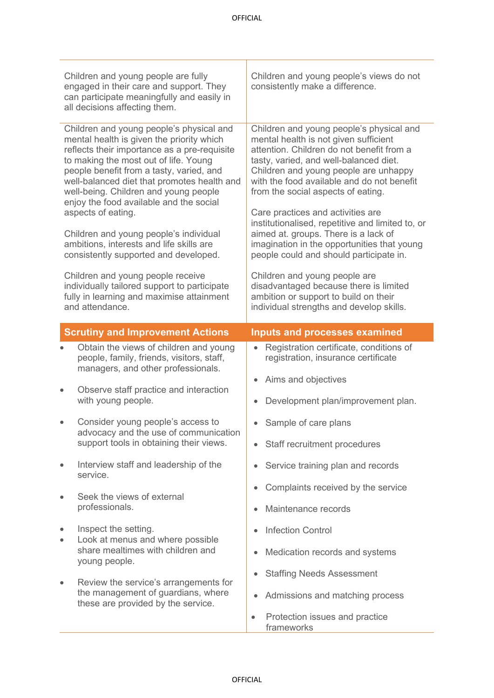| Children and young people are fully<br>engaged in their care and support. They<br>can participate meaningfully and easily in<br>all decisions affecting them. |                                                                                                                                                                                                                                                                                                                                                                                                                                                                                                                                                                                                                                                                         | Children and young people's views do not<br>consistently make a difference.                                                                                                                                                                                                                                                                                                                                                                                                                                                                                                                                                                                                                      |
|---------------------------------------------------------------------------------------------------------------------------------------------------------------|-------------------------------------------------------------------------------------------------------------------------------------------------------------------------------------------------------------------------------------------------------------------------------------------------------------------------------------------------------------------------------------------------------------------------------------------------------------------------------------------------------------------------------------------------------------------------------------------------------------------------------------------------------------------------|--------------------------------------------------------------------------------------------------------------------------------------------------------------------------------------------------------------------------------------------------------------------------------------------------------------------------------------------------------------------------------------------------------------------------------------------------------------------------------------------------------------------------------------------------------------------------------------------------------------------------------------------------------------------------------------------------|
|                                                                                                                                                               | Children and young people's physical and<br>mental health is given the priority which<br>reflects their importance as a pre-requisite<br>to making the most out of life. Young<br>people benefit from a tasty, varied, and<br>well-balanced diet that promotes health and<br>well-being. Children and young people<br>enjoy the food available and the social<br>aspects of eating.<br>Children and young people's individual<br>ambitions, interests and life skills are<br>consistently supported and developed.<br>Children and young people receive<br>individually tailored support to participate<br>fully in learning and maximise attainment<br>and attendance. | Children and young people's physical and<br>mental health is not given sufficient<br>attention. Children do not benefit from a<br>tasty, varied, and well-balanced diet.<br>Children and young people are unhappy<br>with the food available and do not benefit<br>from the social aspects of eating.<br>Care practices and activities are<br>institutionalised, repetitive and limited to, or<br>aimed at. groups. There is a lack of<br>imagination in the opportunities that young<br>people could and should participate in.<br>Children and young people are<br>disadvantaged because there is limited<br>ambition or support to build on their<br>individual strengths and develop skills. |
|                                                                                                                                                               | <b>Scrutiny and Improvement Actions</b>                                                                                                                                                                                                                                                                                                                                                                                                                                                                                                                                                                                                                                 | <b>Inputs and processes examined</b>                                                                                                                                                                                                                                                                                                                                                                                                                                                                                                                                                                                                                                                             |
|                                                                                                                                                               | Obtain the views of children and young<br>people, family, friends, visitors, staff,                                                                                                                                                                                                                                                                                                                                                                                                                                                                                                                                                                                     | Registration certificate, conditions of<br>$\bullet$                                                                                                                                                                                                                                                                                                                                                                                                                                                                                                                                                                                                                                             |
|                                                                                                                                                               | managers, and other professionals.                                                                                                                                                                                                                                                                                                                                                                                                                                                                                                                                                                                                                                      | registration, insurance certificate                                                                                                                                                                                                                                                                                                                                                                                                                                                                                                                                                                                                                                                              |
| $\bullet$                                                                                                                                                     | Observe staff practice and interaction<br>with young people.                                                                                                                                                                                                                                                                                                                                                                                                                                                                                                                                                                                                            | Aims and objectives<br>$\bullet$<br>Development plan/improvement plan.                                                                                                                                                                                                                                                                                                                                                                                                                                                                                                                                                                                                                           |
| $\bullet$                                                                                                                                                     | Consider young people's access to                                                                                                                                                                                                                                                                                                                                                                                                                                                                                                                                                                                                                                       | Sample of care plans                                                                                                                                                                                                                                                                                                                                                                                                                                                                                                                                                                                                                                                                             |
|                                                                                                                                                               | advocacy and the use of communication<br>support tools in obtaining their views.                                                                                                                                                                                                                                                                                                                                                                                                                                                                                                                                                                                        | Staff recruitment procedures<br>$\bullet$                                                                                                                                                                                                                                                                                                                                                                                                                                                                                                                                                                                                                                                        |
| $\bullet$                                                                                                                                                     | Interview staff and leadership of the                                                                                                                                                                                                                                                                                                                                                                                                                                                                                                                                                                                                                                   | Service training plan and records                                                                                                                                                                                                                                                                                                                                                                                                                                                                                                                                                                                                                                                                |
|                                                                                                                                                               | service.                                                                                                                                                                                                                                                                                                                                                                                                                                                                                                                                                                                                                                                                | Complaints received by the service                                                                                                                                                                                                                                                                                                                                                                                                                                                                                                                                                                                                                                                               |
| $\bullet$                                                                                                                                                     | Seek the views of external<br>professionals.                                                                                                                                                                                                                                                                                                                                                                                                                                                                                                                                                                                                                            | Maintenance records                                                                                                                                                                                                                                                                                                                                                                                                                                                                                                                                                                                                                                                                              |
| $\bullet$                                                                                                                                                     | Inspect the setting.                                                                                                                                                                                                                                                                                                                                                                                                                                                                                                                                                                                                                                                    | <b>Infection Control</b><br>$\bullet$                                                                                                                                                                                                                                                                                                                                                                                                                                                                                                                                                                                                                                                            |
| $\bullet$                                                                                                                                                     | Look at menus and where possible<br>share mealtimes with children and                                                                                                                                                                                                                                                                                                                                                                                                                                                                                                                                                                                                   | Medication records and systems                                                                                                                                                                                                                                                                                                                                                                                                                                                                                                                                                                                                                                                                   |
| $\bullet$                                                                                                                                                     | young people.                                                                                                                                                                                                                                                                                                                                                                                                                                                                                                                                                                                                                                                           | <b>Staffing Needs Assessment</b><br>۰                                                                                                                                                                                                                                                                                                                                                                                                                                                                                                                                                                                                                                                            |
|                                                                                                                                                               | Review the service's arrangements for<br>the management of guardians, where<br>these are provided by the service.                                                                                                                                                                                                                                                                                                                                                                                                                                                                                                                                                       | Admissions and matching process                                                                                                                                                                                                                                                                                                                                                                                                                                                                                                                                                                                                                                                                  |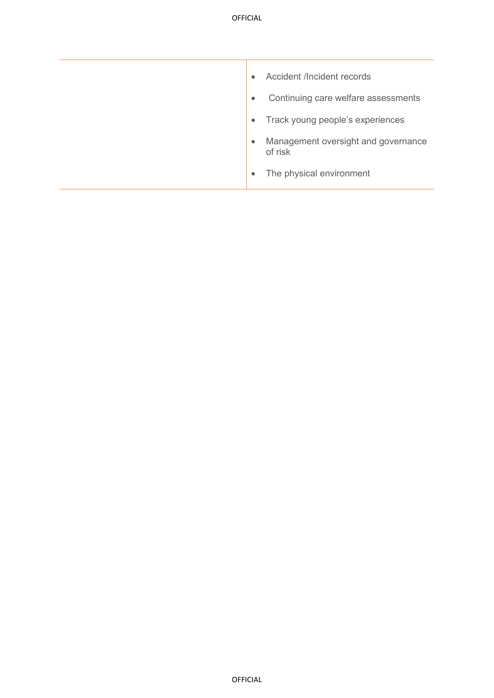| Accident /Incident records<br>$\bullet$                     |
|-------------------------------------------------------------|
| Continuing care welfare assessments<br>$\bullet$            |
| Track young people's experiences<br>$\bullet$               |
| Management oversight and governance<br>$\bullet$<br>of risk |
| The physical environment<br>$\bullet$                       |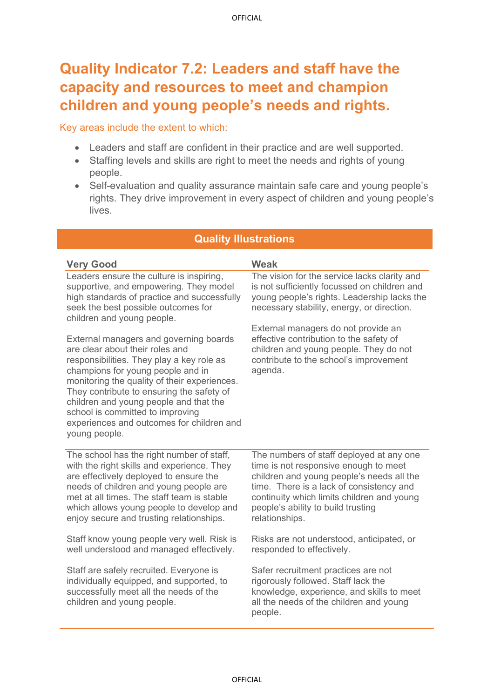## **Quality Indicator 7.2: Leaders and staff have the capacity and resources to meet and champion children and young people's needs and rights.**

Key areas include the extent to which:

- Leaders and staff are confident in their practice and are well supported.
- Staffing levels and skills are right to meet the needs and rights of young people.
- Self-evaluation and quality assurance maintain safe care and young people's rights. They drive improvement in every aspect of children and young people's lives.

| <b>Very Good</b>                                                                                                                                                                                                                                                                                                                                                                                     | <b>Weak</b>                                                                                                                                                                                                                                                                      |
|------------------------------------------------------------------------------------------------------------------------------------------------------------------------------------------------------------------------------------------------------------------------------------------------------------------------------------------------------------------------------------------------------|----------------------------------------------------------------------------------------------------------------------------------------------------------------------------------------------------------------------------------------------------------------------------------|
| Leaders ensure the culture is inspiring,<br>supportive, and empowering. They model<br>high standards of practice and successfully<br>seek the best possible outcomes for<br>children and young people.                                                                                                                                                                                               | The vision for the service lacks clarity and<br>is not sufficiently focussed on children and<br>young people's rights. Leadership lacks the<br>necessary stability, energy, or direction.                                                                                        |
| External managers and governing boards<br>are clear about their roles and<br>responsibilities. They play a key role as<br>champions for young people and in<br>monitoring the quality of their experiences.<br>They contribute to ensuring the safety of<br>children and young people and that the<br>school is committed to improving<br>experiences and outcomes for children and<br>young people. | External managers do not provide an<br>effective contribution to the safety of<br>children and young people. They do not<br>contribute to the school's improvement<br>agenda.                                                                                                    |
| The school has the right number of staff,<br>with the right skills and experience. They<br>are effectively deployed to ensure the<br>needs of children and young people are<br>met at all times. The staff team is stable<br>which allows young people to develop and<br>enjoy secure and trusting relationships.                                                                                    | The numbers of staff deployed at any one<br>time is not responsive enough to meet<br>children and young people's needs all the<br>time. There is a lack of consistency and<br>continuity which limits children and young<br>people's ability to build trusting<br>relationships. |
| Staff know young people very well. Risk is<br>well understood and managed effectively.                                                                                                                                                                                                                                                                                                               | Risks are not understood, anticipated, or<br>responded to effectively.                                                                                                                                                                                                           |
| Staff are safely recruited. Everyone is<br>individually equipped, and supported, to<br>successfully meet all the needs of the<br>children and young people.                                                                                                                                                                                                                                          | Safer recruitment practices are not<br>rigorously followed. Staff lack the<br>knowledge, experience, and skills to meet<br>all the needs of the children and young<br>people.                                                                                                    |

#### **Quality Illustrations**